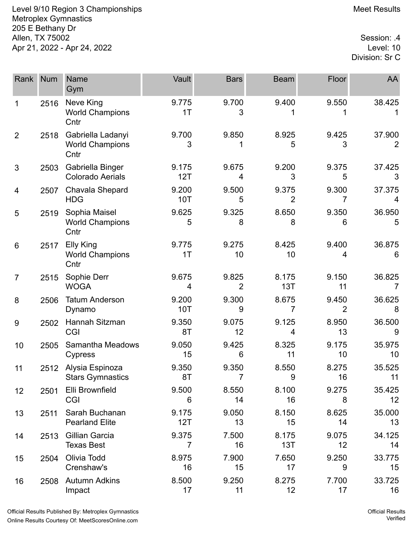Level 9/10 Region 3 Championships Meet Results Metroplex Gymnastics 205 E Bethany Dr 4. Allen, TX 75002<br>Apr 21, 2022 - Apr 24, 2022 Apr 21, 2022 - Apr 24, 2022

Division: Sr C

| Rank           | <b>Num</b> | <b>Name</b><br>Gym                                  | Vault        | <b>Bars</b>             | <b>Beam</b>             | Floor       | AA           |
|----------------|------------|-----------------------------------------------------|--------------|-------------------------|-------------------------|-------------|--------------|
| 1              | 2516       | Neve King<br><b>World Champions</b><br>Cntr         | 9.775<br>1T  | 9.700<br>3              | 9.400                   | 9.550       | 38.425       |
| $\overline{2}$ | 2518       | Gabriella Ladanyi<br><b>World Champions</b><br>Cntr | 9.700<br>3   | 9.850                   | 8.925<br>5              | 9.425<br>3  | 37.900<br>2  |
| 3              | 2503       | Gabriella Binger<br><b>Colorado Aerials</b>         | 9.175<br>12T | 9.675<br>4              | 9.200<br>3              | 9.375<br>5  | 37.425<br>3  |
| 4              | 2507       | Chavala Shepard<br><b>HDG</b>                       | 9.200<br>10T | 9.500<br>5              | 9.375<br>$\overline{2}$ | 9.300<br>7  | 37.375<br>4  |
| 5              | 2519       | Sophia Maisel<br><b>World Champions</b><br>Cntr     | 9.625<br>5   | 9.325<br>8              | 8.650<br>8              | 9.350<br>6  | 36.950<br>5  |
| 6              | 2517       | Elly King<br><b>World Champions</b><br>Cntr         | 9.775<br>1T  | 9.275<br>10             | 8.425<br>10             | 9.400<br>4  | 36.875<br>6  |
| $\overline{7}$ | 2515       | Sophie Derr<br><b>WOGA</b>                          | 9.675<br>4   | 9.825<br>2              | 8.175<br>13T            | 9.150<br>11 | 36.825<br>7  |
| 8              | 2506       | <b>Tatum Anderson</b><br>Dynamo                     | 9.200<br>10T | 9.300<br>9              | 8.675<br>7              | 9.450<br>2  | 36.625<br>8  |
| 9              | 2502       | Hannah Sitzman<br>CGI                               | 9.350<br>8T  | 9.075<br>12             | 9.125<br>4              | 8.950<br>13 | 36.500<br>9  |
| 10             | 2505       | Samantha Meadows<br>Cypress                         | 9.050<br>15  | 9.425<br>6              | 8.325<br>11             | 9.175<br>10 | 35.975<br>10 |
| 11             | 2512       | Alysia Espinoza<br><b>Stars Gymnastics</b>          | 9.350<br>8T  | 9.350<br>$\overline{7}$ | 8.550<br>9              | 8.275<br>16 | 35.525<br>11 |
| 12             | 2501       | Elli Brownfield<br><b>CGI</b>                       | 9.500<br>6   | 8.550<br>14             | 8.100<br>16             | 9.275<br>8  | 35.425<br>12 |
| 13             | 2511       | Sarah Buchanan<br><b>Pearland Elite</b>             | 9.175<br>12T | 9.050<br>13             | 8.150<br>15             | 8.625<br>14 | 35.000<br>13 |
| 14             | 2513       | Gillian Garcia<br><b>Texas Best</b>                 | 9.375<br>7   | 7.500<br>16             | 8.175<br>13T            | 9.075<br>12 | 34.125<br>14 |
| 15             | 2504       | Olivia Todd<br>Crenshaw's                           | 8.975<br>16  | 7.900<br>15             | 7.650<br>17             | 9.250<br>9  | 33.775<br>15 |
| 16             | 2508       | <b>Autumn Adkins</b><br>Impact                      | 8.500<br>17  | 9.250<br>11             | 8.275<br>12             | 7.700<br>17 | 33.725<br>16 |